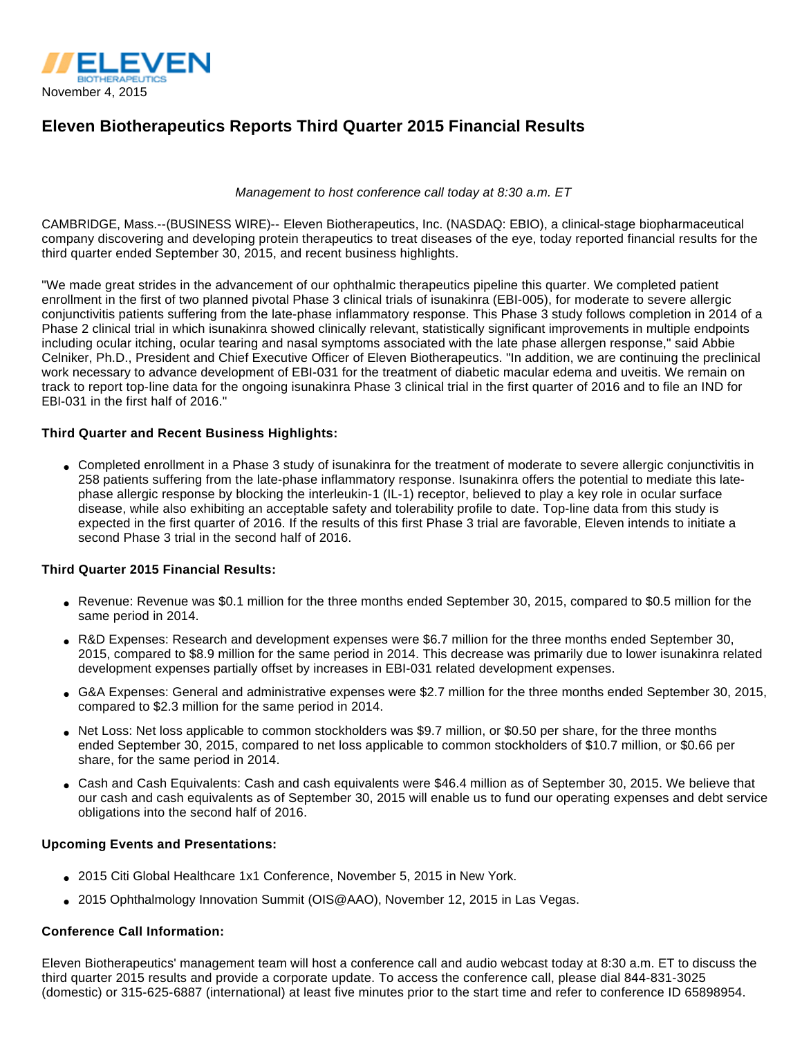

# **Eleven Biotherapeutics Reports Third Quarter 2015 Financial Results**

#### Management to host conference call today at 8:30 a.m. ET

CAMBRIDGE, Mass.--(BUSINESS WIRE)-- Eleven Biotherapeutics, Inc. (NASDAQ: EBIO), a clinical-stage biopharmaceutical company discovering and developing protein therapeutics to treat diseases of the eye, today reported financial results for the third quarter ended September 30, 2015, and recent business highlights.

"We made great strides in the advancement of our ophthalmic therapeutics pipeline this quarter. We completed patient enrollment in the first of two planned pivotal Phase 3 clinical trials of isunakinra (EBI-005), for moderate to severe allergic conjunctivitis patients suffering from the late-phase inflammatory response. This Phase 3 study follows completion in 2014 of a Phase 2 clinical trial in which isunakinra showed clinically relevant, statistically significant improvements in multiple endpoints including ocular itching, ocular tearing and nasal symptoms associated with the late phase allergen response," said Abbie Celniker, Ph.D., President and Chief Executive Officer of Eleven Biotherapeutics. "In addition, we are continuing the preclinical work necessary to advance development of EBI-031 for the treatment of diabetic macular edema and uveitis. We remain on track to report top-line data for the ongoing isunakinra Phase 3 clinical trial in the first quarter of 2016 and to file an IND for EBI-031 in the first half of 2016."

#### **Third Quarter and Recent Business Highlights:**

• Completed enrollment in a Phase 3 study of isunakinra for the treatment of moderate to severe allergic conjunctivitis in 258 patients suffering from the late-phase inflammatory response. Isunakinra offers the potential to mediate this latephase allergic response by blocking the interleukin-1 (IL-1) receptor, believed to play a key role in ocular surface disease, while also exhibiting an acceptable safety and tolerability profile to date. Top-line data from this study is expected in the first quarter of 2016. If the results of this first Phase 3 trial are favorable, Eleven intends to initiate a second Phase 3 trial in the second half of 2016.

## **Third Quarter 2015 Financial Results:**

- Revenue: Revenue was \$0.1 million for the three months ended September 30, 2015, compared to \$0.5 million for the same period in 2014.
- R&D Expenses: Research and development expenses were \$6.7 million for the three months ended September 30, 2015, compared to \$8.9 million for the same period in 2014. This decrease was primarily due to lower isunakinra related development expenses partially offset by increases in EBI-031 related development expenses.
- G&A Expenses: General and administrative expenses were \$2.7 million for the three months ended September 30, 2015, compared to \$2.3 million for the same period in 2014.
- Net Loss: Net loss applicable to common stockholders was \$9.7 million, or \$0.50 per share, for the three months ended September 30, 2015, compared to net loss applicable to common stockholders of \$10.7 million, or \$0.66 per share, for the same period in 2014.
- Cash and Cash Equivalents: Cash and cash equivalents were \$46.4 million as of September 30, 2015. We believe that our cash and cash equivalents as of September 30, 2015 will enable us to fund our operating expenses and debt service obligations into the second half of 2016.

#### **Upcoming Events and Presentations:**

- 2015 Citi Global Healthcare 1x1 Conference, November 5, 2015 in New York.
- 2015 Ophthalmology Innovation Summit (OIS@AAO), November 12, 2015 in Las Vegas.

#### **Conference Call Information:**

Eleven Biotherapeutics' management team will host a conference call and audio webcast today at 8:30 a.m. ET to discuss the third quarter 2015 results and provide a corporate update. To access the conference call, please dial 844-831-3025 (domestic) or 315-625-6887 (international) at least five minutes prior to the start time and refer to conference ID 65898954.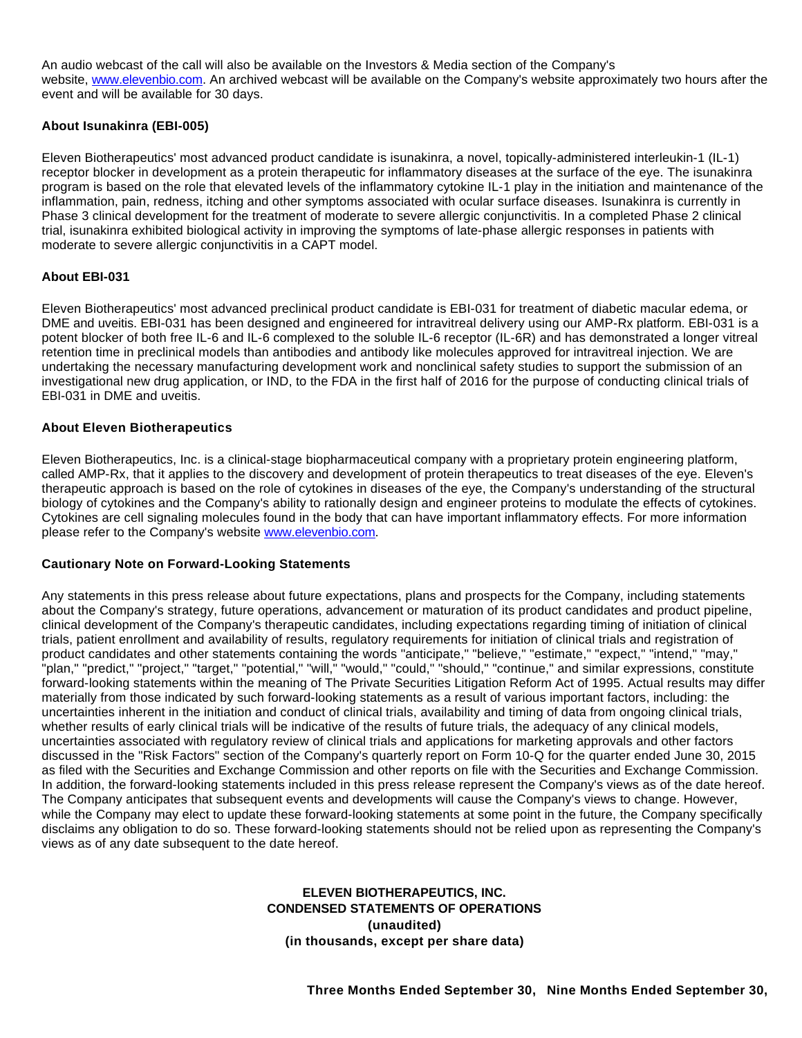An audio webcast of the call will also be available on the Investors & Media section of the Company's website, [www.elevenbio.com.](http://cts.businesswire.com/ct/CT?id=smartlink&url=http%3A%2F%2Fwww.elevenbio.com%2F&esheet=51216480&newsitemid=20151104005433&lan=en-US&anchor=www.elevenbio.com&index=1&md5=7f4dd099449a46cf8b803690813bf799) An archived webcast will be available on the Company's website approximately two hours after the event and will be available for 30 days.

## **About Isunakinra (EBI-005)**

Eleven Biotherapeutics' most advanced product candidate is isunakinra, a novel, topically-administered interleukin-1 (IL-1) receptor blocker in development as a protein therapeutic for inflammatory diseases at the surface of the eye. The isunakinra program is based on the role that elevated levels of the inflammatory cytokine IL-1 play in the initiation and maintenance of the inflammation, pain, redness, itching and other symptoms associated with ocular surface diseases. Isunakinra is currently in Phase 3 clinical development for the treatment of moderate to severe allergic conjunctivitis. In a completed Phase 2 clinical trial, isunakinra exhibited biological activity in improving the symptoms of late-phase allergic responses in patients with moderate to severe allergic conjunctivitis in a CAPT model.

#### **About EBI-031**

Eleven Biotherapeutics' most advanced preclinical product candidate is EBI-031 for treatment of diabetic macular edema, or DME and uveitis. EBI-031 has been designed and engineered for intravitreal delivery using our AMP-Rx platform. EBI-031 is a potent blocker of both free IL-6 and IL-6 complexed to the soluble IL-6 receptor (IL-6R) and has demonstrated a longer vitreal retention time in preclinical models than antibodies and antibody like molecules approved for intravitreal injection. We are undertaking the necessary manufacturing development work and nonclinical safety studies to support the submission of an investigational new drug application, or IND, to the FDA in the first half of 2016 for the purpose of conducting clinical trials of EBI-031 in DME and uveitis.

#### **About Eleven Biotherapeutics**

Eleven Biotherapeutics, Inc. is a clinical-stage biopharmaceutical company with a proprietary protein engineering platform, called AMP-Rx, that it applies to the discovery and development of protein therapeutics to treat diseases of the eye. Eleven's therapeutic approach is based on the role of cytokines in diseases of the eye, the Company's understanding of the structural biology of cytokines and the Company's ability to rationally design and engineer proteins to modulate the effects of cytokines. Cytokines are cell signaling molecules found in the body that can have important inflammatory effects. For more information please refer to the Company's website [www.elevenbio.com.](http://cts.businesswire.com/ct/CT?id=smartlink&url=http%3A%2F%2Fwww.elevenbio.com&esheet=51216480&newsitemid=20151104005433&lan=en-US&anchor=www.elevenbio.com&index=2&md5=8b04c053e1109ecd65b01815a2e889aa)

#### **Cautionary Note on Forward-Looking Statements**

Any statements in this press release about future expectations, plans and prospects for the Company, including statements about the Company's strategy, future operations, advancement or maturation of its product candidates and product pipeline, clinical development of the Company's therapeutic candidates, including expectations regarding timing of initiation of clinical trials, patient enrollment and availability of results, regulatory requirements for initiation of clinical trials and registration of product candidates and other statements containing the words "anticipate," "believe," "estimate," "expect," "intend," "may," "plan," "predict," "project," "target," "potential," "will," "would," "could," "should," "continue," and similar expressions, constitute forward-looking statements within the meaning of The Private Securities Litigation Reform Act of 1995. Actual results may differ materially from those indicated by such forward-looking statements as a result of various important factors, including: the uncertainties inherent in the initiation and conduct of clinical trials, availability and timing of data from ongoing clinical trials, whether results of early clinical trials will be indicative of the results of future trials, the adequacy of any clinical models, uncertainties associated with regulatory review of clinical trials and applications for marketing approvals and other factors discussed in the "Risk Factors" section of the Company's quarterly report on Form 10-Q for the quarter ended June 30, 2015 as filed with the Securities and Exchange Commission and other reports on file with the Securities and Exchange Commission. In addition, the forward-looking statements included in this press release represent the Company's views as of the date hereof. The Company anticipates that subsequent events and developments will cause the Company's views to change. However, while the Company may elect to update these forward-looking statements at some point in the future, the Company specifically disclaims any obligation to do so. These forward-looking statements should not be relied upon as representing the Company's views as of any date subsequent to the date hereof.

## **ELEVEN BIOTHERAPEUTICS, INC. CONDENSED STATEMENTS OF OPERATIONS (unaudited) (in thousands, except per share data)**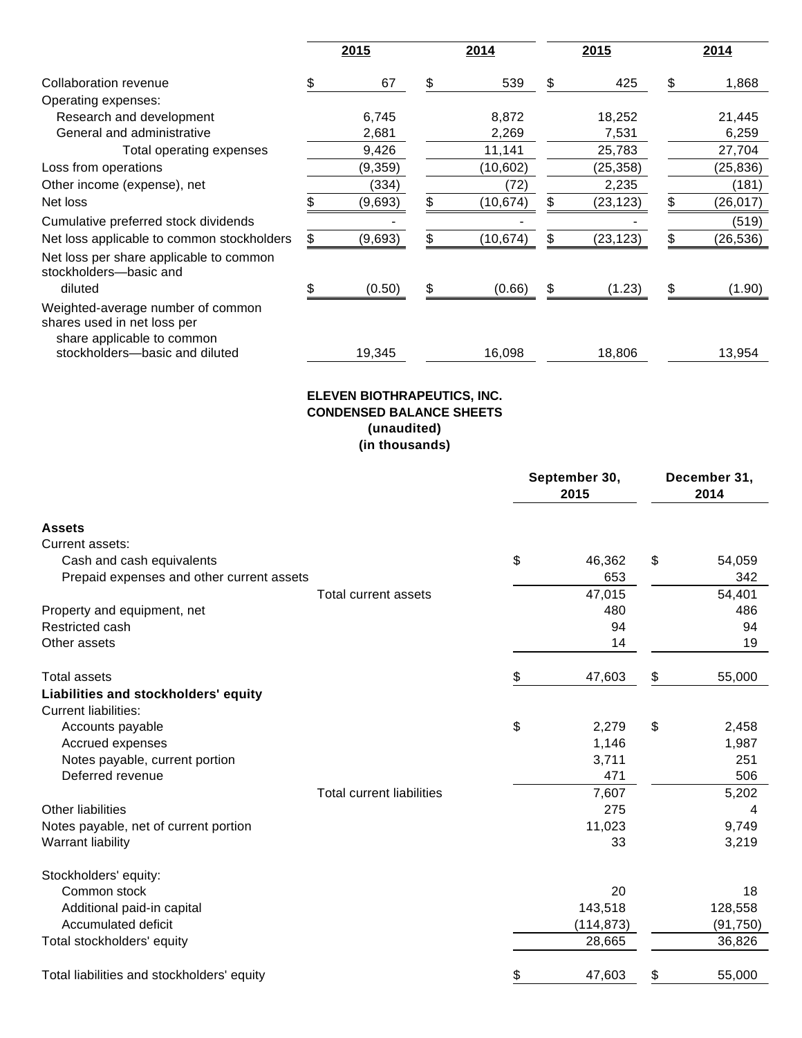|                                                                                                | 2015     |    | 2014      |    | 2015      |    | 2014     |
|------------------------------------------------------------------------------------------------|----------|----|-----------|----|-----------|----|----------|
| Collaboration revenue                                                                          | 67       | \$ | 539       | \$ | 425       | \$ | 1,868    |
| Operating expenses:                                                                            |          |    |           |    |           |    |          |
| Research and development                                                                       | 6,745    |    | 8,872     |    | 18,252    |    | 21,445   |
| General and administrative                                                                     | 2,681    |    | 2,269     |    | 7,531     |    | 6,259    |
| Total operating expenses                                                                       | 9,426    |    | 11,141    |    | 25,783    |    | 27,704   |
| Loss from operations                                                                           | (9, 359) |    | (10, 602) |    | (25, 358) |    | (25,836) |
| Other income (expense), net                                                                    | (334)    |    | (72)      |    | 2,235     |    | (181)    |
| Net loss                                                                                       | (9,693)  | \$ | (10,674)  | \$ | (23,123)  | S  | (26,017) |
| Cumulative preferred stock dividends                                                           |          |    |           |    |           |    | (519)    |
| Net loss applicable to common stockholders                                                     | (9,693)  | S  | (10,674)  | S  | (23, 123) |    | (26,536) |
| Net loss per share applicable to common<br>stockholders-basic and                              |          |    |           |    |           |    |          |
| diluted                                                                                        | (0.50)   | \$ | (0.66)    | \$ | (1.23)    | S  | (1.90)   |
| Weighted-average number of common<br>shares used in net loss per<br>share applicable to common |          |    |           |    |           |    |          |
| stockholders-basic and diluted                                                                 | 19,345   |    | 16,098    |    | 18,806    |    | 13,954   |

# **ELEVEN BIOTHRAPEUTICS, INC. CONDENSED BALANCE SHEETS (unaudited) (in thousands)**

|                                            |                                  | September 30,<br>2015 |            | December 31,<br>2014 |           |
|--------------------------------------------|----------------------------------|-----------------------|------------|----------------------|-----------|
| <b>Assets</b>                              |                                  |                       |            |                      |           |
| Current assets:                            |                                  |                       |            |                      |           |
| Cash and cash equivalents                  |                                  | \$                    | 46,362     | \$                   | 54,059    |
| Prepaid expenses and other current assets  |                                  |                       | 653        |                      | 342       |
|                                            | Total current assets             |                       | 47,015     |                      | 54,401    |
| Property and equipment, net                |                                  |                       | 480        |                      | 486       |
| Restricted cash                            |                                  |                       | 94         |                      | 94        |
| Other assets                               |                                  |                       | 14         |                      | 19        |
| <b>Total assets</b>                        |                                  | \$                    | 47,603     | \$                   | 55,000    |
| Liabilities and stockholders' equity       |                                  |                       |            |                      |           |
| <b>Current liabilities:</b>                |                                  |                       |            |                      |           |
| Accounts payable                           |                                  | \$                    | 2,279      | \$                   | 2,458     |
| Accrued expenses                           |                                  |                       | 1,146      |                      | 1,987     |
| Notes payable, current portion             |                                  |                       | 3,711      |                      | 251       |
| Deferred revenue                           |                                  |                       | 471        |                      | 506       |
|                                            | <b>Total current liabilities</b> |                       | 7,607      |                      | 5,202     |
| <b>Other liabilities</b>                   |                                  |                       | 275        |                      | 4         |
| Notes payable, net of current portion      |                                  |                       | 11,023     |                      | 9,749     |
| Warrant liability                          |                                  |                       | 33         |                      | 3,219     |
| Stockholders' equity:                      |                                  |                       |            |                      |           |
| Common stock                               |                                  |                       | 20         |                      | 18        |
| Additional paid-in capital                 |                                  |                       | 143,518    |                      | 128,558   |
| Accumulated deficit                        |                                  |                       | (114, 873) |                      | (91, 750) |
| Total stockholders' equity                 |                                  |                       | 28,665     |                      | 36,826    |
| Total liabilities and stockholders' equity |                                  | \$                    | 47,603     | \$                   | 55,000    |